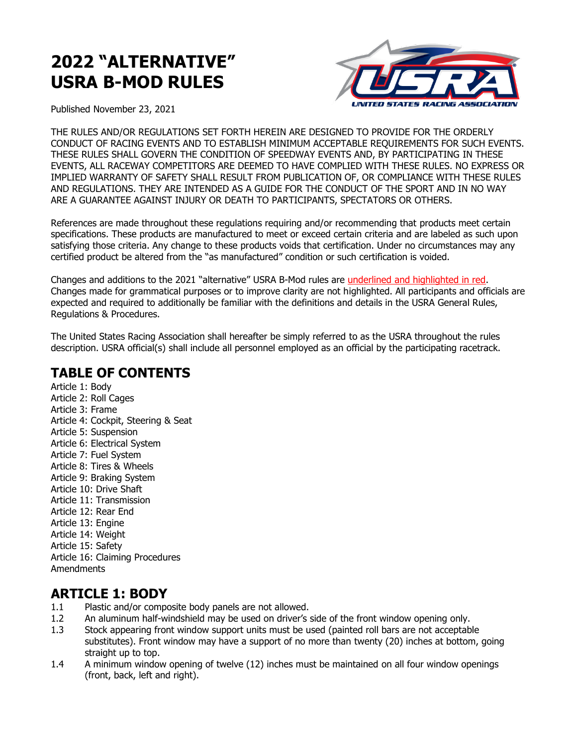# **2022 "ALTERNATIVE" USRA B-MOD RULES**



Published November 23, 2021

THE RULES AND/OR REGULATIONS SET FORTH HEREIN ARE DESIGNED TO PROVIDE FOR THE ORDERLY CONDUCT OF RACING EVENTS AND TO ESTABLISH MINIMUM ACCEPTABLE REQUIREMENTS FOR SUCH EVENTS. THESE RULES SHALL GOVERN THE CONDITION OF SPEEDWAY EVENTS AND, BY PARTICIPATING IN THESE EVENTS, ALL RACEWAY COMPETITORS ARE DEEMED TO HAVE COMPLIED WITH THESE RULES. NO EXPRESS OR IMPLIED WARRANTY OF SAFETY SHALL RESULT FROM PUBLICATION OF, OR COMPLIANCE WITH THESE RULES AND REGULATIONS. THEY ARE INTENDED AS A GUIDE FOR THE CONDUCT OF THE SPORT AND IN NO WAY ARE A GUARANTEE AGAINST INJURY OR DEATH TO PARTICIPANTS, SPECTATORS OR OTHERS.

References are made throughout these regulations requiring and/or recommending that products meet certain specifications. These products are manufactured to meet or exceed certain criteria and are labeled as such upon satisfying those criteria. Any change to these products voids that certification. Under no circumstances may any certified product be altered from the "as manufactured" condition or such certification is voided.

Changes and additions to the 2021 "alternative" USRA B-Mod rules are underlined and highlighted in red. Changes made for grammatical purposes or to improve clarity are not highlighted. All participants and officials are expected and required to additionally be familiar with the definitions and details in the USRA General Rules, Regulations & Procedures.

The United States Racing Association shall hereafter be simply referred to as the USRA throughout the rules description. USRA official(s) shall include all personnel employed as an official by the participating racetrack.

### **TABLE OF CONTENTS**

Article 1: Body Article 2: Roll Cages Article 3: Frame Article 4: Cockpit, Steering & Seat Article 5: Suspension Article 6: Electrical System Article 7: Fuel System Article 8: Tires & Wheels Article 9: Braking System Article 10: Drive Shaft Article 11: Transmission Article 12: Rear End Article 13: Engine Article 14: Weight Article 15: Safety Article 16: Claiming Procedures Amendments

### **ARTICLE 1: BODY**

- 1.1 Plastic and/or composite body panels are not allowed.
- 1.2 An aluminum half-windshield may be used on driver's side of the front window opening only.
- 1.3 Stock appearing front window support units must be used (painted roll bars are not acceptable substitutes). Front window may have a support of no more than twenty (20) inches at bottom, going straight up to top.
- 1.4 A minimum window opening of twelve (12) inches must be maintained on all four window openings (front, back, left and right).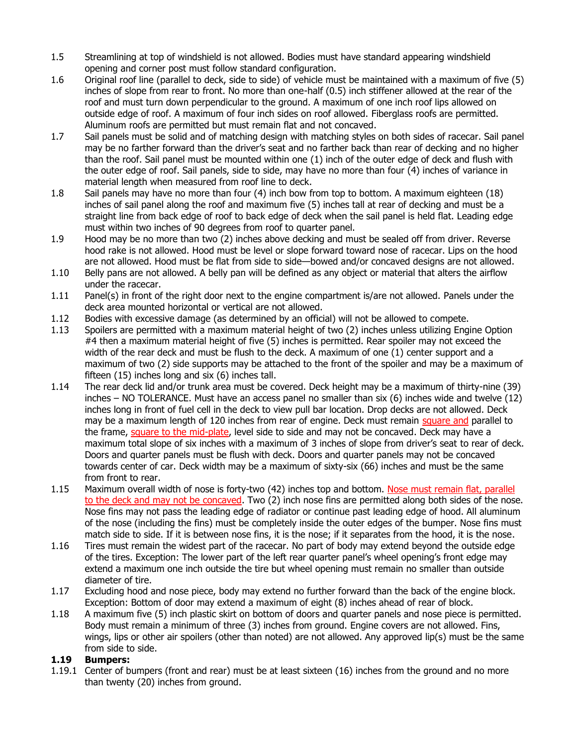- 1.5 Streamlining at top of windshield is not allowed. Bodies must have standard appearing windshield opening and corner post must follow standard configuration.
- 1.6 Original roof line (parallel to deck, side to side) of vehicle must be maintained with a maximum of five (5) inches of slope from rear to front. No more than one-half (0.5) inch stiffener allowed at the rear of the roof and must turn down perpendicular to the ground. A maximum of one inch roof lips allowed on outside edge of roof. A maximum of four inch sides on roof allowed. Fiberglass roofs are permitted. Aluminum roofs are permitted but must remain flat and not concaved.
- 1.7 Sail panels must be solid and of matching design with matching styles on both sides of racecar. Sail panel may be no farther forward than the driver's seat and no farther back than rear of decking and no higher than the roof. Sail panel must be mounted within one (1) inch of the outer edge of deck and flush with the outer edge of roof. Sail panels, side to side, may have no more than four (4) inches of variance in material length when measured from roof line to deck.
- 1.8 Sail panels may have no more than four (4) inch bow from top to bottom. A maximum eighteen (18) inches of sail panel along the roof and maximum five (5) inches tall at rear of decking and must be a straight line from back edge of roof to back edge of deck when the sail panel is held flat. Leading edge must within two inches of 90 degrees from roof to quarter panel.
- 1.9 Hood may be no more than two (2) inches above decking and must be sealed off from driver. Reverse hood rake is not allowed. Hood must be level or slope forward toward nose of racecar. Lips on the hood are not allowed. Hood must be flat from side to side—bowed and/or concaved designs are not allowed.
- 1.10 Belly pans are not allowed. A belly pan will be defined as any object or material that alters the airflow under the racecar.
- 1.11 Panel(s) in front of the right door next to the engine compartment is/are not allowed. Panels under the deck area mounted horizontal or vertical are not allowed.
- 1.12 Bodies with excessive damage (as determined by an official) will not be allowed to compete.
- 1.13 Spoilers are permitted with a maximum material height of two (2) inches unless utilizing Engine Option #4 then a maximum material height of five (5) inches is permitted. Rear spoiler may not exceed the width of the rear deck and must be flush to the deck. A maximum of one (1) center support and a maximum of two (2) side supports may be attached to the front of the spoiler and may be a maximum of fifteen (15) inches long and six (6) inches tall.
- 1.14 The rear deck lid and/or trunk area must be covered. Deck height may be a maximum of thirty-nine (39) inches – NO TOLERANCE. Must have an access panel no smaller than six (6) inches wide and twelve (12) inches long in front of fuel cell in the deck to view pull bar location. Drop decks are not allowed. Deck may be a maximum length of 120 inches from rear of engine. Deck must remain square and parallel to the frame, square to the mid-plate, level side to side and may not be concaved. Deck may have a maximum total slope of six inches with a maximum of 3 inches of slope from driver's seat to rear of deck. Doors and quarter panels must be flush with deck. Doors and quarter panels may not be concaved towards center of car. Deck width may be a maximum of sixty-six (66) inches and must be the same from front to rear.
- 1.15 Maximum overall width of nose is forty-two (42) inches top and bottom. Nose must remain flat, parallel to the deck and may not be concaved. Two (2) inch nose fins are permitted along both sides of the nose. Nose fins may not pass the leading edge of radiator or continue past leading edge of hood. All aluminum of the nose (including the fins) must be completely inside the outer edges of the bumper. Nose fins must match side to side. If it is between nose fins, it is the nose; if it separates from the hood, it is the nose.
- 1.16 Tires must remain the widest part of the racecar. No part of body may extend beyond the outside edge of the tires. Exception: The lower part of the left rear quarter panel's wheel opening's front edge may extend a maximum one inch outside the tire but wheel opening must remain no smaller than outside diameter of tire.
- 1.17 Excluding hood and nose piece, body may extend no further forward than the back of the engine block. Exception: Bottom of door may extend a maximum of eight (8) inches ahead of rear of block.
- 1.18 A maximum five (5) inch plastic skirt on bottom of doors and quarter panels and nose piece is permitted. Body must remain a minimum of three (3) inches from ground. Engine covers are not allowed. Fins, wings, lips or other air spoilers (other than noted) are not allowed. Any approved lip(s) must be the same from side to side.

#### **1.19 Bumpers:**

1.19.1 Center of bumpers (front and rear) must be at least sixteen (16) inches from the ground and no more than twenty (20) inches from ground.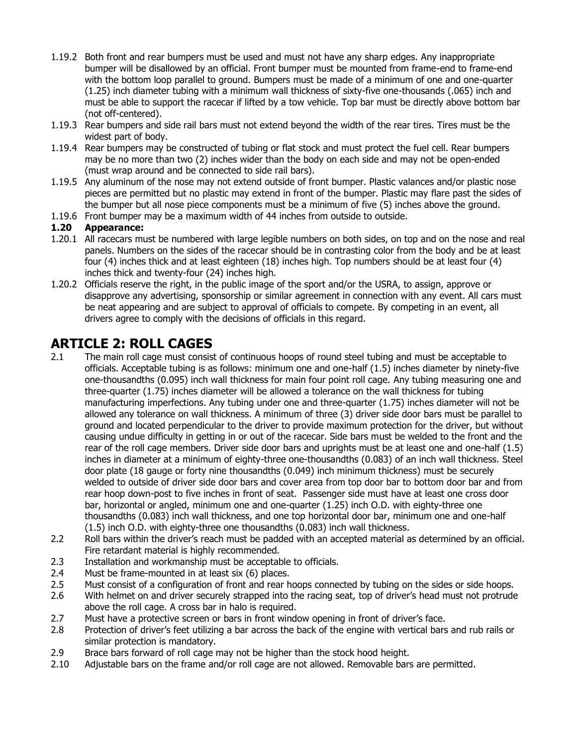- 1.19.2 Both front and rear bumpers must be used and must not have any sharp edges. Any inappropriate bumper will be disallowed by an official. Front bumper must be mounted from frame-end to frame-end with the bottom loop parallel to ground. Bumpers must be made of a minimum of one and one-quarter (1.25) inch diameter tubing with a minimum wall thickness of sixty-five one-thousands (.065) inch and must be able to support the racecar if lifted by a tow vehicle. Top bar must be directly above bottom bar (not off-centered).
- 1.19.3 Rear bumpers and side rail bars must not extend beyond the width of the rear tires. Tires must be the widest part of body.
- 1.19.4 Rear bumpers may be constructed of tubing or flat stock and must protect the fuel cell. Rear bumpers may be no more than two (2) inches wider than the body on each side and may not be open-ended (must wrap around and be connected to side rail bars).
- 1.19.5 Any aluminum of the nose may not extend outside of front bumper. Plastic valances and/or plastic nose pieces are permitted but no plastic may extend in front of the bumper. Plastic may flare past the sides of the bumper but all nose piece components must be a minimum of five (5) inches above the ground.
- 1.19.6 Front bumper may be a maximum width of 44 inches from outside to outside.

#### **1.20 Appearance:**

- 1.20.1 All racecars must be numbered with large legible numbers on both sides, on top and on the nose and real panels. Numbers on the sides of the racecar should be in contrasting color from the body and be at least four (4) inches thick and at least eighteen (18) inches high. Top numbers should be at least four (4) inches thick and twenty-four (24) inches high.
- 1.20.2 Officials reserve the right, in the public image of the sport and/or the USRA, to assign, approve or disapprove any advertising, sponsorship or similar agreement in connection with any event. All cars must be neat appearing and are subject to approval of officials to compete. By competing in an event, all drivers agree to comply with the decisions of officials in this regard.

### **ARTICLE 2: ROLL CAGES**

- 2.1 The main roll cage must consist of continuous hoops of round steel tubing and must be acceptable to officials. Acceptable tubing is as follows: minimum one and one-half (1.5) inches diameter by ninety-five one-thousandths (0.095) inch wall thickness for main four point roll cage. Any tubing measuring one and three-quarter (1.75) inches diameter will be allowed a tolerance on the wall thickness for tubing manufacturing imperfections. Any tubing under one and three-quarter (1.75) inches diameter will not be allowed any tolerance on wall thickness. A minimum of three (3) driver side door bars must be parallel to ground and located perpendicular to the driver to provide maximum protection for the driver, but without causing undue difficulty in getting in or out of the racecar. Side bars must be welded to the front and the rear of the roll cage members. Driver side door bars and uprights must be at least one and one-half (1.5) inches in diameter at a minimum of eighty-three one-thousandths (0.083) of an inch wall thickness. Steel door plate (18 gauge or forty nine thousandths (0.049) inch minimum thickness) must be securely welded to outside of driver side door bars and cover area from top door bar to bottom door bar and from rear hoop down-post to five inches in front of seat. Passenger side must have at least one cross door bar, horizontal or angled, minimum one and one-quarter (1.25) inch O.D. with eighty-three one thousandths (0.083) inch wall thickness, and one top horizontal door bar, minimum one and one-half (1.5) inch O.D. with eighty-three one thousandths (0.083) inch wall thickness.
- 2.2 Roll bars within the driver's reach must be padded with an accepted material as determined by an official. Fire retardant material is highly recommended.
- 2.3 Installation and workmanship must be acceptable to officials.
- 2.4 Must be frame-mounted in at least six (6) places.
- 2.5 Must consist of a configuration of front and rear hoops connected by tubing on the sides or side hoops.
- 2.6 With helmet on and driver securely strapped into the racing seat, top of driver's head must not protrude above the roll cage. A cross bar in halo is required.
- 2.7 Must have a protective screen or bars in front window opening in front of driver's face.
- 2.8 Protection of driver's feet utilizing a bar across the back of the engine with vertical bars and rub rails or similar protection is mandatory.
- 2.9 Brace bars forward of roll cage may not be higher than the stock hood height.
- 2.10 Adjustable bars on the frame and/or roll cage are not allowed. Removable bars are permitted.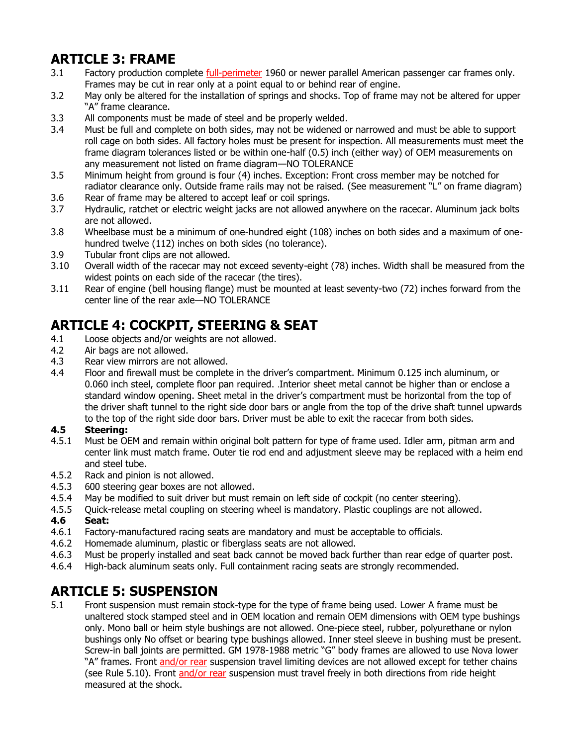# **ARTICLE 3: FRAME**

- 3.1 Factory production complete full-perimeter 1960 or newer parallel American passenger car frames only. Frames may be cut in rear only at a point equal to or behind rear of engine.
- 3.2 May only be altered for the installation of springs and shocks. Top of frame may not be altered for upper "A" frame clearance.
- 3.3 All components must be made of steel and be properly welded.
- 3.4 Must be full and complete on both sides, may not be widened or narrowed and must be able to support roll cage on both sides. All factory holes must be present for inspection. All measurements must meet the frame diagram tolerances listed or be within one-half (0.5) inch (either way) of OEM measurements on any measurement not listed on frame diagram—NO TOLERANCE
- 3.5 Minimum height from ground is four (4) inches. Exception: Front cross member may be notched for radiator clearance only. Outside frame rails may not be raised. (See measurement "L" on frame diagram) 3.6 Rear of frame may be altered to accept leaf or coil springs.
- 3.7 Hydraulic, ratchet or electric weight jacks are not allowed anywhere on the racecar. Aluminum jack bolts are not allowed.
- 3.8 Wheelbase must be a minimum of one-hundred eight (108) inches on both sides and a maximum of onehundred twelve (112) inches on both sides (no tolerance).
- 3.9 Tubular front clips are not allowed.
- 3.10 Overall width of the racecar may not exceed seventy-eight (78) inches. Width shall be measured from the widest points on each side of the racecar (the tires).
- 3.11 Rear of engine (bell housing flange) must be mounted at least seventy-two (72) inches forward from the center line of the rear axle—NO TOLERANCE

# **ARTICLE 4: COCKPIT, STEERING & SEAT**

- 4.1 Loose objects and/or weights are not allowed.
- 4.2 Air bags are not allowed.
- 4.3 Rear view mirrors are not allowed.
- 4.4 Floor and firewall must be complete in the driver's compartment. Minimum 0.125 inch aluminum, or 0.060 inch steel, complete floor pan required. .Interior sheet metal cannot be higher than or enclose a standard window opening. Sheet metal in the driver's compartment must be horizontal from the top of the driver shaft tunnel to the right side door bars or angle from the top of the drive shaft tunnel upwards to the top of the right side door bars. Driver must be able to exit the racecar from both sides.

#### **4.5 Steering:**

- 4.5.1 Must be OEM and remain within original bolt pattern for type of frame used. Idler arm, pitman arm and center link must match frame. Outer tie rod end and adjustment sleeve may be replaced with a heim end and steel tube.
- 4.5.2 Rack and pinion is not allowed.
- 4.5.3 600 steering gear boxes are not allowed.
- 4.5.4 May be modified to suit driver but must remain on left side of cockpit (no center steering).
- 4.5.5 Quick-release metal coupling on steering wheel is mandatory. Plastic couplings are not allowed. **4.6 Seat:**
- 4.6.1 Factory-manufactured racing seats are mandatory and must be acceptable to officials.
- 4.6.2 Homemade aluminum, plastic or fiberglass seats are not allowed.
- 4.6.3 Must be properly installed and seat back cannot be moved back further than rear edge of quarter post.
- 4.6.4 High-back aluminum seats only. Full containment racing seats are strongly recommended.

### **ARTICLE 5: SUSPENSION**

5.1 Front suspension must remain stock-type for the type of frame being used. Lower A frame must be unaltered stock stamped steel and in OEM location and remain OEM dimensions with OEM type bushings only. Mono ball or heim style bushings are not allowed. One-piece steel, rubber, polyurethane or nylon bushings only No offset or bearing type bushings allowed. Inner steel sleeve in bushing must be present. Screw-in ball joints are permitted. GM 1978-1988 metric "G" body frames are allowed to use Nova lower "A" frames. Front and/or rear suspension travel limiting devices are not allowed except for tether chains (see Rule 5.10). Front and/or rear suspension must travel freely in both directions from ride height measured at the shock.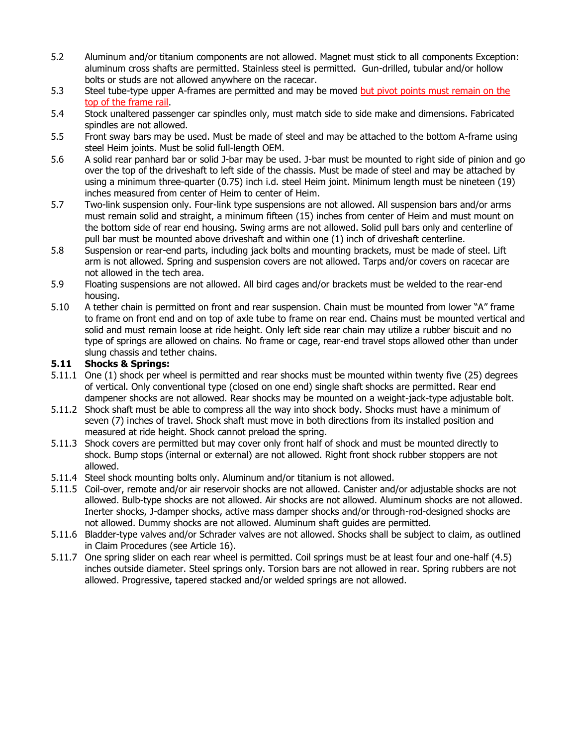- 5.2 Aluminum and/or titanium components are not allowed. Magnet must stick to all components Exception: aluminum cross shafts are permitted. Stainless steel is permitted. Gun-drilled, tubular and/or hollow bolts or studs are not allowed anywhere on the racecar.
- 5.3 Steel tube-type upper A-frames are permitted and may be moved but pivot points must remain on the top of the frame rail.
- 5.4 Stock unaltered passenger car spindles only, must match side to side make and dimensions. Fabricated spindles are not allowed.
- 5.5 Front sway bars may be used. Must be made of steel and may be attached to the bottom A-frame using steel Heim joints. Must be solid full-length OEM.
- 5.6 A solid rear panhard bar or solid J-bar may be used. J-bar must be mounted to right side of pinion and go over the top of the driveshaft to left side of the chassis. Must be made of steel and may be attached by using a minimum three-quarter (0.75) inch i.d. steel Heim joint. Minimum length must be nineteen (19) inches measured from center of Heim to center of Heim.
- 5.7 Two-link suspension only. Four-link type suspensions are not allowed. All suspension bars and/or arms must remain solid and straight, a minimum fifteen (15) inches from center of Heim and must mount on the bottom side of rear end housing. Swing arms are not allowed. Solid pull bars only and centerline of pull bar must be mounted above driveshaft and within one (1) inch of driveshaft centerline.
- 5.8 Suspension or rear-end parts, including jack bolts and mounting brackets, must be made of steel. Lift arm is not allowed. Spring and suspension covers are not allowed. Tarps and/or covers on racecar are not allowed in the tech area.
- 5.9 Floating suspensions are not allowed. All bird cages and/or brackets must be welded to the rear-end housing.
- 5.10 A tether chain is permitted on front and rear suspension. Chain must be mounted from lower "A" frame to frame on front end and on top of axle tube to frame on rear end. Chains must be mounted vertical and solid and must remain loose at ride height. Only left side rear chain may utilize a rubber biscuit and no type of springs are allowed on chains. No frame or cage, rear-end travel stops allowed other than under slung chassis and tether chains.

#### **5.11 Shocks & Springs:**

- 5.11.1 One (1) shock per wheel is permitted and rear shocks must be mounted within twenty five (25) degrees of vertical. Only conventional type (closed on one end) single shaft shocks are permitted. Rear end dampener shocks are not allowed. Rear shocks may be mounted on a weight-jack-type adjustable bolt.
- 5.11.2 Shock shaft must be able to compress all the way into shock body. Shocks must have a minimum of seven (7) inches of travel. Shock shaft must move in both directions from its installed position and measured at ride height. Shock cannot preload the spring.
- 5.11.3 Shock covers are permitted but may cover only front half of shock and must be mounted directly to shock. Bump stops (internal or external) are not allowed. Right front shock rubber stoppers are not allowed.
- 5.11.4 Steel shock mounting bolts only. Aluminum and/or titanium is not allowed.
- 5.11.5 Coil-over, remote and/or air reservoir shocks are not allowed. Canister and/or adjustable shocks are not allowed. Bulb-type shocks are not allowed. Air shocks are not allowed. Aluminum shocks are not allowed. Inerter shocks, J-damper shocks, active mass damper shocks and/or through-rod-designed shocks are not allowed. Dummy shocks are not allowed. Aluminum shaft guides are permitted.
- 5.11.6 Bladder-type valves and/or Schrader valves are not allowed. Shocks shall be subject to claim, as outlined in Claim Procedures (see Article 16).
- 5.11.7 One spring slider on each rear wheel is permitted. Coil springs must be at least four and one-half (4.5) inches outside diameter. Steel springs only. Torsion bars are not allowed in rear. Spring rubbers are not allowed. Progressive, tapered stacked and/or welded springs are not allowed.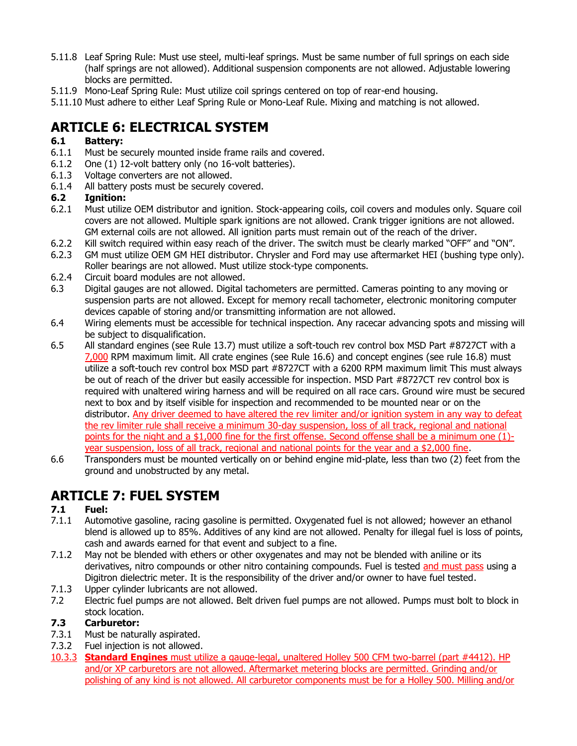- 5.11.8 Leaf Spring Rule: Must use steel, multi-leaf springs. Must be same number of full springs on each side (half springs are not allowed). Additional suspension components are not allowed. Adjustable lowering blocks are permitted.
- 5.11.9 Mono-Leaf Spring Rule: Must utilize coil springs centered on top of rear-end housing.
- 5.11.10 Must adhere to either Leaf Spring Rule or Mono-Leaf Rule. Mixing and matching is not allowed.

# **ARTICLE 6: ELECTRICAL SYSTEM**

#### **6.1 Battery:**

- 6.1.1 Must be securely mounted inside frame rails and covered.
- 6.1.2 One (1) 12-volt battery only (no 16-volt batteries).
- 6.1.3 Voltage converters are not allowed.
- 6.1.4 All battery posts must be securely covered.

#### **6.2 Ignition:**

- 6.2.1 Must utilize OEM distributor and ignition. Stock-appearing coils, coil covers and modules only. Square coil covers are not allowed. Multiple spark ignitions are not allowed. Crank trigger ignitions are not allowed. GM external coils are not allowed. All ignition parts must remain out of the reach of the driver.
- 6.2.2 Kill switch required within easy reach of the driver. The switch must be clearly marked "OFF" and "ON".
- 6.2.3 GM must utilize OEM GM HEI distributor. Chrysler and Ford may use aftermarket HEI (bushing type only). Roller bearings are not allowed. Must utilize stock-type components.
- 6.2.4 Circuit board modules are not allowed.
- 6.3 Digital gauges are not allowed. Digital tachometers are permitted. Cameras pointing to any moving or suspension parts are not allowed. Except for memory recall tachometer, electronic monitoring computer devices capable of storing and/or transmitting information are not allowed.
- 6.4 Wiring elements must be accessible for technical inspection. Any racecar advancing spots and missing will be subject to disqualification.
- 6.5 All standard engines (see Rule 13.7) must utilize a soft-touch rev control box MSD Part #8727CT with a 7,000 RPM maximum limit. All crate engines (see Rule 16.6) and concept engines (see rule 16.8) must utilize a soft-touch rev control box MSD part #8727CT with a 6200 RPM maximum limit This must always be out of reach of the driver but easily accessible for inspection. MSD Part #8727CT rev control box is required with unaltered wiring harness and will be required on all race cars. Ground wire must be secured next to box and by itself visible for inspection and recommended to be mounted near or on the distributor. Any driver deemed to have altered the rev limiter and/or ignition system in any way to defeat the rev limiter rule shall receive a minimum 30-day suspension, loss of all track, regional and national points for the night and a \$1,000 fine for the first offense. Second offense shall be a minimum one (1) year suspension, loss of all track, regional and national points for the year and a \$2,000 fine.
- 6.6 Transponders must be mounted vertically on or behind engine mid-plate, less than two (2) feet from the ground and unobstructed by any metal.

# **ARTICLE 7: FUEL SYSTEM**

#### **7.1 Fuel:**

- 7.1.1 Automotive gasoline, racing gasoline is permitted. Oxygenated fuel is not allowed; however an ethanol blend is allowed up to 85%. Additives of any kind are not allowed. Penalty for illegal fuel is loss of points, cash and awards earned for that event and subject to a fine.
- 7.1.2 May not be blended with ethers or other oxygenates and may not be blended with aniline or its derivatives, nitro compounds or other nitro containing compounds. Fuel is tested and must pass using a Digitron dielectric meter. It is the responsibility of the driver and/or owner to have fuel tested.
- 7.1.3 Upper cylinder lubricants are not allowed.
- 7.2 Electric fuel pumps are not allowed. Belt driven fuel pumps are not allowed. Pumps must bolt to block in stock location.

#### **7.3 Carburetor:**

- 7.3.1 Must be naturally aspirated.
- 7.3.2 Fuel injection is not allowed.
- 10.3.3 **Standard Engines** must utilize a gauge-legal, unaltered Holley 500 CFM two-barrel (part #4412). HP and/or XP carburetors are not allowed. Aftermarket metering blocks are permitted. Grinding and/or polishing of any kind is not allowed. All carburetor components must be for a Holley 500. Milling and/or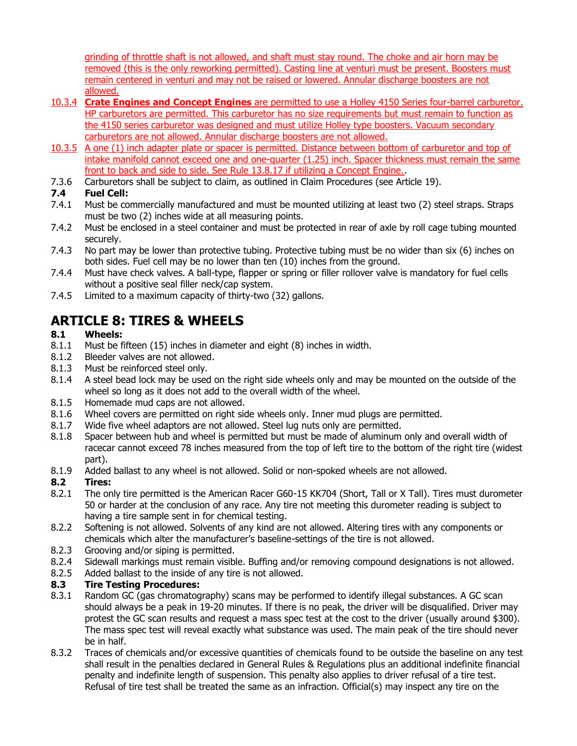grinding of throttle shaft is not allowed, and shaft must stay round. The choke and air horn may be removed (this is the only reworking permitted). Casting line at venturi must be present. Boosters must remain centered in venturi and may not be raised or lowered. Annular discharge boosters are not allowed.

- 10.3.4 **Crate Engines and Concept Engines** are permitted to use a Holley 4150 Series four-barrel carburetor. HP carburetors are permitted. This carburetor has no size requirements but must remain to function as the 4150 series carburetor was designed and must utilize Holley type boosters. Vacuum secondary carburetors are not allowed. Annular discharge boosters are not allowed.
- 10.3.5 A one (1) inch adapter plate or spacer is permitted. Distance between bottom of carburetor and top of intake manifold cannot exceed one and one-quarter (1.25) inch. Spacer thickness must remain the same front to back and side to side. See Rule 13.8.17 if utilizing a Concept Engine..
- 7.3.6 Carburetors shall be subject to claim, as outlined in Claim Procedures (see Article 19).

#### **7.4 Fuel Cell:**

- 7.4.1 Must be commercially manufactured and must be mounted utilizing at least two (2) steel straps. Straps must be two (2) inches wide at all measuring points.
- 7.4.2 Must be enclosed in a steel container and must be protected in rear of axle by roll cage tubing mounted securely.
- 7.4.3 No part may be lower than protective tubing. Protective tubing must be no wider than six (6) inches on both sides. Fuel cell may be no lower than ten (10) inches from the ground.
- 7.4.4 Must have check valves. A ball-type, flapper or spring or filler rollover valve is mandatory for fuel cells without a positive seal filler neck/cap system.
- 7.4.5 Limited to a maximum capacity of thirty-two (32) gallons.

# **ARTICLE 8: TIRES & WHEELS**

#### **8.1 Wheels:**

- 8.1.1 Must be fifteen (15) inches in diameter and eight (8) inches in width.
- 8.1.2 Bleeder valves are not allowed.
- 8.1.3 Must be reinforced steel only.
- 8.1.4 A steel bead lock may be used on the right side wheels only and may be mounted on the outside of the wheel so long as it does not add to the overall width of the wheel.
- 8.1.5 Homemade mud caps are not allowed.
- 8.1.6 Wheel covers are permitted on right side wheels only. Inner mud plugs are permitted.
- 8.1.7 Wide five wheel adaptors are not allowed. Steel lug nuts only are permitted.
- 8.1.8 Spacer between hub and wheel is permitted but must be made of aluminum only and overall width of racecar cannot exceed 78 inches measured from the top of left tire to the bottom of the right tire (widest part).
- 8.1.9 Added ballast to any wheel is not allowed. Solid or non-spoked wheels are not allowed.

#### **8.2 Tires:**

- 8.2.1 The only tire permitted is the American Racer G60-15 KK704 (Short, Tall or X Tall). Tires must durometer 50 or harder at the conclusion of any race. Any tire not meeting this durometer reading is subject to having a tire sample sent in for chemical testing.
- 8.2.2 Softening is not allowed. Solvents of any kind are not allowed. Altering tires with any components or chemicals which alter the manufacturer's baseline-settings of the tire is not allowed.
- 8.2.3 Grooving and/or siping is permitted.
- 8.2.4 Sidewall markings must remain visible. Buffing and/or removing compound designations is not allowed.
- 8.2.5 Added ballast to the inside of any tire is not allowed.

#### **8.3 Tire Testing Procedures:**

- 8.3.1 Random GC (gas chromatography) scans may be performed to identify illegal substances. A GC scan should always be a peak in 19-20 minutes. If there is no peak, the driver will be disqualified. Driver may protest the GC scan results and request a mass spec test at the cost to the driver (usually around \$300). The mass spec test will reveal exactly what substance was used. The main peak of the tire should never be in half.
- 8.3.2 Traces of chemicals and/or excessive quantities of chemicals found to be outside the baseline on any test shall result in the penalties declared in General Rules & Regulations plus an additional indefinite financial penalty and indefinite length of suspension. This penalty also applies to driver refusal of a tire test. Refusal of tire test shall be treated the same as an infraction. Official(s) may inspect any tire on the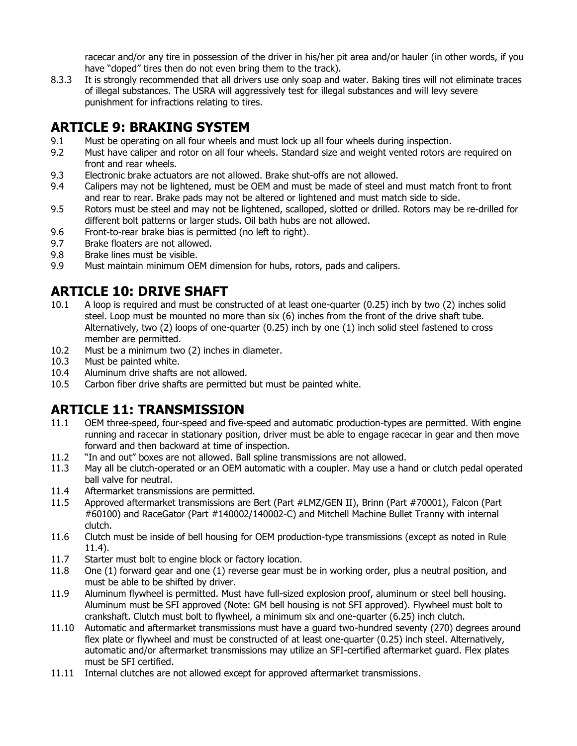racecar and/or any tire in possession of the driver in his/her pit area and/or hauler (in other words, if you have "doped" tires then do not even bring them to the track).

8.3.3 It is strongly recommended that all drivers use only soap and water. Baking tires will not eliminate traces of illegal substances. The USRA will aggressively test for illegal substances and will levy severe punishment for infractions relating to tires.

### **ARTICLE 9: BRAKING SYSTEM**

- 9.1 Must be operating on all four wheels and must lock up all four wheels during inspection.
- 9.2 Must have caliper and rotor on all four wheels. Standard size and weight vented rotors are required on front and rear wheels.
- 9.3 Electronic brake actuators are not allowed. Brake shut-offs are not allowed.
- 9.4 Calipers may not be lightened, must be OEM and must be made of steel and must match front to front and rear to rear. Brake pads may not be altered or lightened and must match side to side.
- 9.5 Rotors must be steel and may not be lightened, scalloped, slotted or drilled. Rotors may be re-drilled for different bolt patterns or larger studs. Oil bath hubs are not allowed.
- 9.6 Front-to-rear brake bias is permitted (no left to right).
- 9.7 Brake floaters are not allowed.
- 9.8 Brake lines must be visible.
- 9.9 Must maintain minimum OEM dimension for hubs, rotors, pads and calipers.

# **ARTICLE 10: DRIVE SHAFT**

- 10.1 A loop is required and must be constructed of at least one-quarter (0.25) inch by two (2) inches solid steel. Loop must be mounted no more than six (6) inches from the front of the drive shaft tube. Alternatively, two (2) loops of one-quarter (0.25) inch by one (1) inch solid steel fastened to cross member are permitted.
- 10.2 Must be a minimum two (2) inches in diameter.
- 10.3 Must be painted white.
- 10.4 Aluminum drive shafts are not allowed.<br>10.5 Carbon fiber drive shafts are permitted
- Carbon fiber drive shafts are permitted but must be painted white.

### **ARTICLE 11: TRANSMISSION**

- 11.1 OEM three-speed, four-speed and five-speed and automatic production-types are permitted. With engine running and racecar in stationary position, driver must be able to engage racecar in gear and then move forward and then backward at time of inspection.
- 11.2 "In and out" boxes are not allowed. Ball spline transmissions are not allowed.
- 11.3 May all be clutch-operated or an OEM automatic with a coupler. May use a hand or clutch pedal operated ball valve for neutral.
- 11.4 Aftermarket transmissions are permitted.
- 11.5 Approved aftermarket transmissions are Bert (Part #LMZ/GEN II), Brinn (Part #70001), Falcon (Part #60100) and RaceGator (Part #140002/140002-C) and Mitchell Machine Bullet Tranny with internal clutch.
- 11.6 Clutch must be inside of bell housing for OEM production-type transmissions (except as noted in Rule 11.4).
- 11.7 Starter must bolt to engine block or factory location.
- 11.8 One (1) forward gear and one (1) reverse gear must be in working order, plus a neutral position, and must be able to be shifted by driver.
- 11.9 Aluminum flywheel is permitted. Must have full-sized explosion proof, aluminum or steel bell housing. Aluminum must be SFI approved (Note: GM bell housing is not SFI approved). Flywheel must bolt to crankshaft. Clutch must bolt to flywheel, a minimum six and one-quarter (6.25) inch clutch.
- 11.10 Automatic and aftermarket transmissions must have a guard two-hundred seventy (270) degrees around flex plate or flywheel and must be constructed of at least one-quarter (0.25) inch steel. Alternatively, automatic and/or aftermarket transmissions may utilize an SFI-certified aftermarket guard. Flex plates must be SFI certified.
- 11.11 Internal clutches are not allowed except for approved aftermarket transmissions.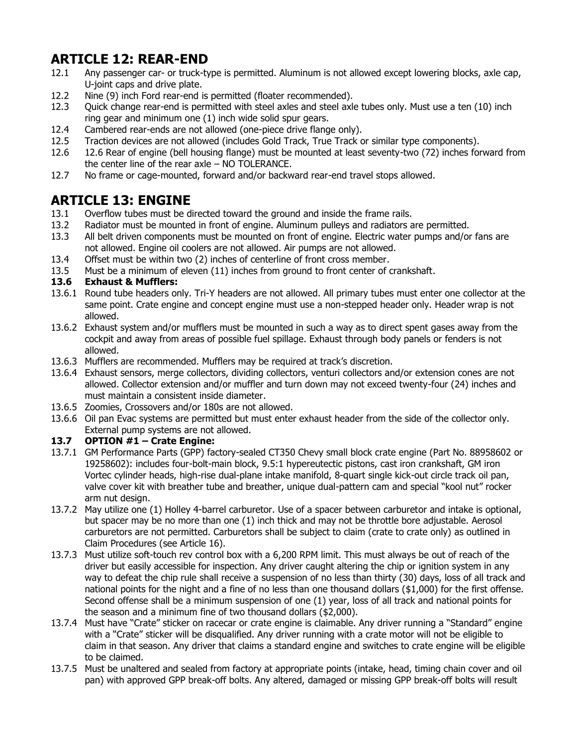# **ARTICLE 12: REAR-END**

- 12.1 Any passenger car- or truck-type is permitted. Aluminum is not allowed except lowering blocks, axle cap, U-joint caps and drive plate.
- 12.2 Nine (9) inch Ford rear-end is permitted (floater recommended).
- 12.3 Quick change rear-end is permitted with steel axles and steel axle tubes only. Must use a ten (10) inch ring gear and minimum one (1) inch wide solid spur gears.
- 12.4 Cambered rear-ends are not allowed (one-piece drive flange only).
- 12.5 Traction devices are not allowed (includes Gold Track, True Track or similar type components).
- 12.6 12.6 Rear of engine (bell housing flange) must be mounted at least seventy-two (72) inches forward from the center line of the rear axle – NO TOLERANCE.
- 12.7 No frame or cage-mounted, forward and/or backward rear-end travel stops allowed.

# **ARTICLE 13: ENGINE**

- 13.1 Overflow tubes must be directed toward the ground and inside the frame rails.
- 13.2 Radiator must be mounted in front of engine. Aluminum pulleys and radiators are permitted.
- 13.3 All belt driven components must be mounted on front of engine. Electric water pumps and/or fans are not allowed. Engine oil coolers are not allowed. Air pumps are not allowed.
- 13.4 Offset must be within two (2) inches of centerline of front cross member.
- 13.5 Must be a minimum of eleven (11) inches from ground to front center of crankshaft.

#### **13.6 Exhaust & Mufflers:**

- 13.6.1 Round tube headers only. Tri-Y headers are not allowed. All primary tubes must enter one collector at the same point. Crate engine and concept engine must use a non-stepped header only. Header wrap is not allowed.
- 13.6.2 Exhaust system and/or mufflers must be mounted in such a way as to direct spent gases away from the cockpit and away from areas of possible fuel spillage. Exhaust through body panels or fenders is not allowed.
- 13.6.3 Mufflers are recommended. Mufflers may be required at track's discretion.
- 13.6.4 Exhaust sensors, merge collectors, dividing collectors, venturi collectors and/or extension cones are not allowed. Collector extension and/or muffler and turn down may not exceed twenty-four (24) inches and must maintain a consistent inside diameter.
- 13.6.5 Zoomies, Crossovers and/or 180s are not allowed.
- 13.6.6 Oil pan Evac systems are permitted but must enter exhaust header from the side of the collector only. External pump systems are not allowed.

#### **13.7 OPTION #1 – Crate Engine:**

- 13.7.1 GM Performance Parts (GPP) factory-sealed CT350 Chevy small block crate engine (Part No. 88958602 or 19258602): includes four-bolt-main block, 9.5:1 hypereutectic pistons, cast iron crankshaft, GM iron Vortec cylinder heads, high-rise dual-plane intake manifold, 8-quart single kick-out circle track oil pan, valve cover kit with breather tube and breather, unique dual-pattern cam and special "kool nut" rocker arm nut design.
- 13.7.2 May utilize one (1) Holley 4-barrel carburetor. Use of a spacer between carburetor and intake is optional, but spacer may be no more than one (1) inch thick and may not be throttle bore adjustable. Aerosol carburetors are not permitted. Carburetors shall be subject to claim (crate to crate only) as outlined in Claim Procedures (see Article 16).
- 13.7.3 Must utilize soft-touch rev control box with a 6,200 RPM limit. This must always be out of reach of the driver but easily accessible for inspection. Any driver caught altering the chip or ignition system in any way to defeat the chip rule shall receive a suspension of no less than thirty (30) days, loss of all track and national points for the night and a fine of no less than one thousand dollars (\$1,000) for the first offense. Second offense shall be a minimum suspension of one (1) year, loss of all track and national points for the season and a minimum fine of two thousand dollars (\$2,000).
- 13.7.4 Must have "Crate" sticker on racecar or crate engine is claimable. Any driver running a "Standard" engine with a "Crate" sticker will be disqualified. Any driver running with a crate motor will not be eligible to claim in that season. Any driver that claims a standard engine and switches to crate engine will be eligible to be claimed.
- 13.7.5 Must be unaltered and sealed from factory at appropriate points (intake, head, timing chain cover and oil pan) with approved GPP break-off bolts. Any altered, damaged or missing GPP break-off bolts will result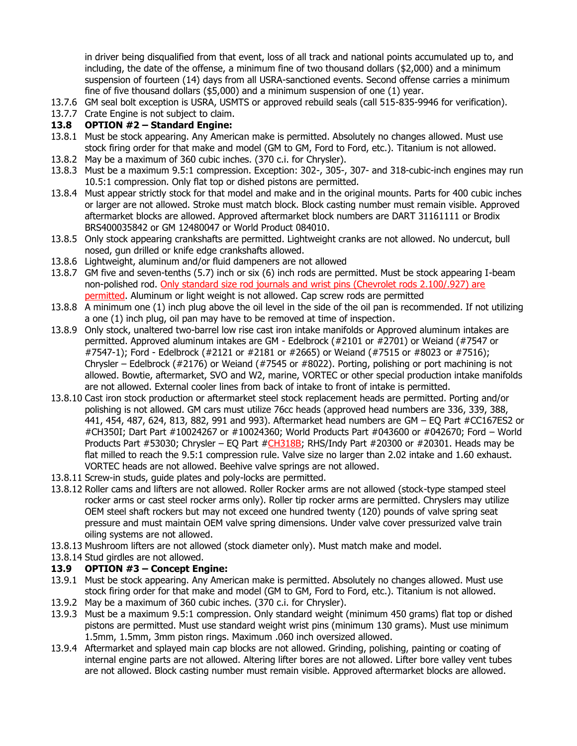in driver being disqualified from that event, loss of all track and national points accumulated up to, and including, the date of the offense, a minimum fine of two thousand dollars (\$2,000) and a minimum suspension of fourteen (14) days from all USRA-sanctioned events. Second offense carries a minimum fine of five thousand dollars (\$5,000) and a minimum suspension of one (1) year.

- 13.7.6 GM seal bolt exception is USRA, USMTS or approved rebuild seals (call 515-835-9946 for verification).
- 13.7.7 Crate Engine is not subject to claim.

#### **13.8 OPTION #2 – Standard Engine:**

- 13.8.1 Must be stock appearing. Any American make is permitted. Absolutely no changes allowed. Must use stock firing order for that make and model (GM to GM, Ford to Ford, etc.). Titanium is not allowed.
- 13.8.2 May be a maximum of 360 cubic inches. (370 c.i. for Chrysler).
- 13.8.3 Must be a maximum 9.5:1 compression. Exception: 302-, 305-, 307- and 318-cubic-inch engines may run 10.5:1 compression. Only flat top or dished pistons are permitted.
- 13.8.4 Must appear strictly stock for that model and make and in the original mounts. Parts for 400 cubic inches or larger are not allowed. Stroke must match block. Block casting number must remain visible. Approved aftermarket blocks are allowed. Approved aftermarket block numbers are DART 31161111 or Brodix BRS400035842 or GM 12480047 or World Product 084010.
- 13.8.5 Only stock appearing crankshafts are permitted. Lightweight cranks are not allowed. No undercut, bull nosed, gun drilled or knife edge crankshafts allowed.
- 13.8.6 Lightweight, aluminum and/or fluid dampeners are not allowed
- 13.8.7 GM five and seven-tenths (5.7) inch or six (6) inch rods are permitted. Must be stock appearing I-beam non-polished rod. Only standard size rod journals and wrist pins (Chevrolet rods 2.100/.927) are permitted. Aluminum or light weight is not allowed. Cap screw rods are permitted
- 13.8.8 A minimum one (1) inch plug above the oil level in the side of the oil pan is recommended. If not utilizing a one (1) inch plug, oil pan may have to be removed at time of inspection.
- 13.8.9 Only stock, unaltered two-barrel low rise cast iron intake manifolds or Approved aluminum intakes are permitted. Approved aluminum intakes are GM - Edelbrock (#2101 or #2701) or Weiand (#7547 or #7547-1); Ford - Edelbrock (#2121 or #2181 or #2665) or Weiand (#7515 or #8023 or #7516); Chrysler – Edelbrock (#2176) or Weiand (#7545 or #8022). Porting, polishing or port machining is not allowed. Bowtie, aftermarket, SVO and W2, marine, VORTEC or other special production intake manifolds are not allowed. External cooler lines from back of intake to front of intake is permitted.
- 13.8.10 Cast iron stock production or aftermarket steel stock replacement heads are permitted. Porting and/or polishing is not allowed. GM cars must utilize 76cc heads (approved head numbers are 336, 339, 388, 441, 454, 487, 624, 813, 882, 991 and 993). Aftermarket head numbers are GM – EQ Part #CC167ES2 or #CH350I; Dart Part #10024267 or #10024360; World Products Part #043600 or #042670; Ford – World Products Part #53030; Chrysler – EQ Part #CH318B; RHS/Indy Part #20300 or #20301. Heads may be flat milled to reach the 9.5:1 compression rule. Valve size no larger than 2.02 intake and 1.60 exhaust. VORTEC heads are not allowed. Beehive valve springs are not allowed.
- 13.8.11 Screw-in studs, guide plates and poly-locks are permitted.
- 13.8.12 Roller cams and lifters are not allowed. Roller Rocker arms are not allowed (stock-type stamped steel rocker arms or cast steel rocker arms only). Roller tip rocker arms are permitted. Chryslers may utilize OEM steel shaft rockers but may not exceed one hundred twenty (120) pounds of valve spring seat pressure and must maintain OEM valve spring dimensions. Under valve cover pressurized valve train oiling systems are not allowed.
- 13.8.13 Mushroom lifters are not allowed (stock diameter only). Must match make and model.
- 13.8.14 Stud girdles are not allowed.

#### **13.9 OPTION #3 – Concept Engine:**

- 13.9.1 Must be stock appearing. Any American make is permitted. Absolutely no changes allowed. Must use stock firing order for that make and model (GM to GM, Ford to Ford, etc.). Titanium is not allowed.
- 13.9.2 May be a maximum of 360 cubic inches. (370 c.i. for Chrysler).
- 13.9.3 Must be a maximum 9.5:1 compression. Only standard weight (minimum 450 grams) flat top or dished pistons are permitted. Must use standard weight wrist pins (minimum 130 grams). Must use minimum 1.5mm, 1.5mm, 3mm piston rings. Maximum .060 inch oversized allowed.
- 13.9.4 Aftermarket and splayed main cap blocks are not allowed. Grinding, polishing, painting or coating of internal engine parts are not allowed. Altering lifter bores are not allowed. Lifter bore valley vent tubes are not allowed. Block casting number must remain visible. Approved aftermarket blocks are allowed.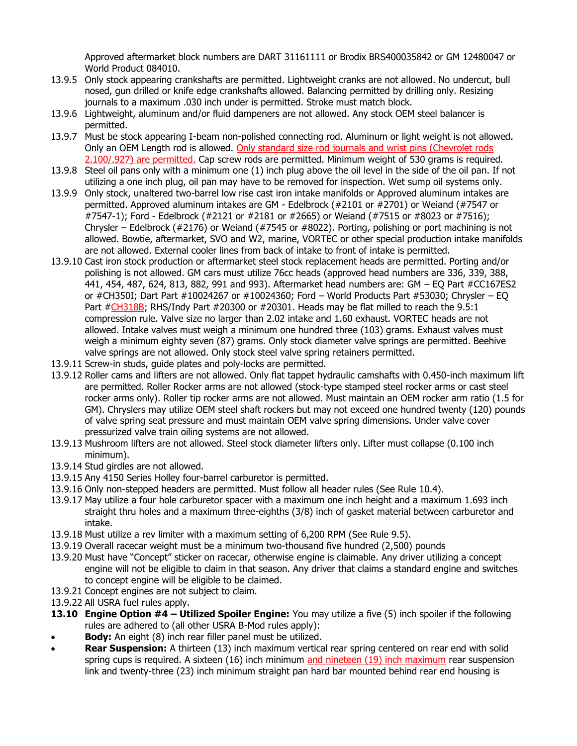Approved aftermarket block numbers are DART 31161111 or Brodix BRS400035842 or GM 12480047 or World Product 084010.

- 13.9.5 Only stock appearing crankshafts are permitted. Lightweight cranks are not allowed. No undercut, bull nosed, gun drilled or knife edge crankshafts allowed. Balancing permitted by drilling only. Resizing journals to a maximum .030 inch under is permitted. Stroke must match block.
- 13.9.6 Lightweight, aluminum and/or fluid dampeners are not allowed. Any stock OEM steel balancer is permitted.
- 13.9.7 Must be stock appearing I-beam non-polished connecting rod. Aluminum or light weight is not allowed. Only an OEM Length rod is allowed. Only standard size rod journals and wrist pins (Chevrolet rods 2.100/.927) are permitted. Cap screw rods are permitted. Minimum weight of 530 grams is required.
- 13.9.8 Steel oil pans only with a minimum one (1) inch plug above the oil level in the side of the oil pan. If not utilizing a one inch plug, oil pan may have to be removed for inspection. Wet sump oil systems only.
- 13.9.9 Only stock, unaltered two-barrel low rise cast iron intake manifolds or Approved aluminum intakes are permitted. Approved aluminum intakes are GM - Edelbrock (#2101 or #2701) or Weiand (#7547 or #7547-1); Ford - Edelbrock (#2121 or #2181 or #2665) or Weiand (#7515 or #8023 or #7516); Chrysler – Edelbrock (#2176) or Weiand (#7545 or #8022). Porting, polishing or port machining is not allowed. Bowtie, aftermarket, SVO and W2, marine, VORTEC or other special production intake manifolds are not allowed. External cooler lines from back of intake to front of intake is permitted.
- 13.9.10 Cast iron stock production or aftermarket steel stock replacement heads are permitted. Porting and/or polishing is not allowed. GM cars must utilize 76cc heads (approved head numbers are 336, 339, 388, 441, 454, 487, 624, 813, 882, 991 and 993). Aftermarket head numbers are: GM – EQ Part #CC167ES2 or #CH350I; Dart Part #10024267 or #10024360; Ford – World Products Part #53030; Chrysler – EQ Part #CH318B; RHS/Indy Part #20300 or #20301. Heads may be flat milled to reach the 9.5:1 compression rule. Valve size no larger than 2.02 intake and 1.60 exhaust. VORTEC heads are not allowed. Intake valves must weigh a minimum one hundred three (103) grams. Exhaust valves must weigh a minimum eighty seven (87) grams. Only stock diameter valve springs are permitted. Beehive valve springs are not allowed. Only stock steel valve spring retainers permitted.
- 13.9.11 Screw-in studs, guide plates and poly-locks are permitted.
- 13.9.12 Roller cams and lifters are not allowed. Only flat tappet hydraulic camshafts with 0.450-inch maximum lift are permitted. Roller Rocker arms are not allowed (stock-type stamped steel rocker arms or cast steel rocker arms only). Roller tip rocker arms are not allowed. Must maintain an OEM rocker arm ratio (1.5 for GM). Chryslers may utilize OEM steel shaft rockers but may not exceed one hundred twenty (120) pounds of valve spring seat pressure and must maintain OEM valve spring dimensions. Under valve cover pressurized valve train oiling systems are not allowed.
- 13.9.13 Mushroom lifters are not allowed. Steel stock diameter lifters only. Lifter must collapse (0.100 inch minimum).
- 13.9.14 Stud girdles are not allowed.
- 13.9.15 Any 4150 Series Holley four-barrel carburetor is permitted.
- 13.9.16 Only non-stepped headers are permitted. Must follow all header rules (See Rule 10.4).
- 13.9.17 May utilize a four hole carburetor spacer with a maximum one inch height and a maximum 1.693 inch straight thru holes and a maximum three-eighths (3/8) inch of gasket material between carburetor and intake.
- 13.9.18 Must utilize a rev limiter with a maximum setting of 6,200 RPM (See Rule 9.5).
- 13.9.19 Overall racecar weight must be a minimum two-thousand five hundred (2,500) pounds
- 13.9.20 Must have "Concept" sticker on racecar, otherwise engine is claimable. Any driver utilizing a concept engine will not be eligible to claim in that season. Any driver that claims a standard engine and switches to concept engine will be eligible to be claimed.
- 13.9.21 Concept engines are not subject to claim.
- 13.9.22 All USRA fuel rules apply.
- **13.10 Engine Option #4 – Utilized Spoiler Engine:** You may utilize a five (5) inch spoiler if the following rules are adhered to (all other USRA B-Mod rules apply):
- **Body:** An eight (8) inch rear filler panel must be utilized.
- **Rear Suspension:** A thirteen (13) inch maximum vertical rear spring centered on rear end with solid spring cups is required. A sixteen (16) inch minimum and nineteen (19) inch maximum rear suspension link and twenty-three (23) inch minimum straight pan hard bar mounted behind rear end housing is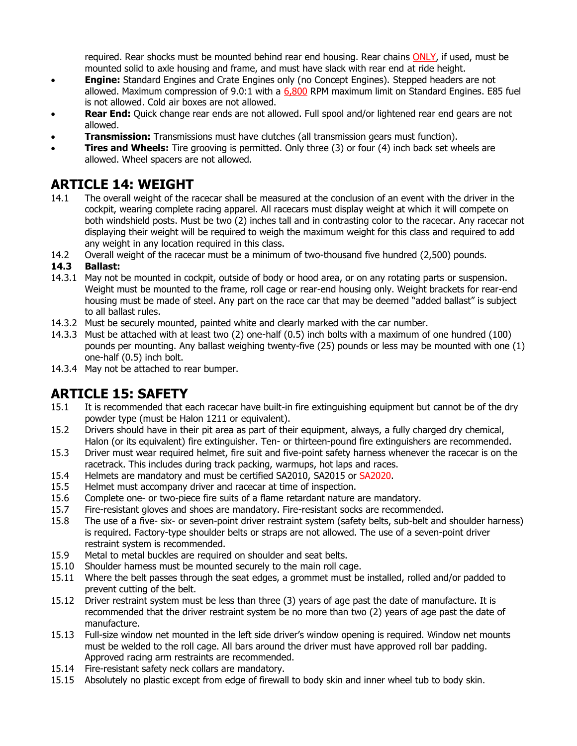required. Rear shocks must be mounted behind rear end housing. Rear chains ONLY, if used, must be mounted solid to axle housing and frame, and must have slack with rear end at ride height.

- **Engine:** Standard Engines and Crate Engines only (no Concept Engines). Stepped headers are not allowed. Maximum compression of 9.0:1 with a 6,800 RPM maximum limit on Standard Engines. E85 fuel is not allowed. Cold air boxes are not allowed.
- **Rear End:** Quick change rear ends are not allowed. Full spool and/or lightened rear end gears are not allowed.
- **Transmission:** Transmissions must have clutches (all transmission gears must function).
- **Tires and Wheels:** Tire grooving is permitted. Only three (3) or four (4) inch back set wheels are allowed. Wheel spacers are not allowed.

### **ARTICLE 14: WEIGHT**

- 14.1 The overall weight of the racecar shall be measured at the conclusion of an event with the driver in the cockpit, wearing complete racing apparel. All racecars must display weight at which it will compete on both windshield posts. Must be two (2) inches tall and in contrasting color to the racecar. Any racecar not displaying their weight will be required to weigh the maximum weight for this class and required to add any weight in any location required in this class.
- 14.2 Overall weight of the racecar must be a minimum of two-thousand five hundred (2,500) pounds.

#### **14.3 Ballast:**

- 14.3.1 May not be mounted in cockpit, outside of body or hood area, or on any rotating parts or suspension. Weight must be mounted to the frame, roll cage or rear-end housing only. Weight brackets for rear-end housing must be made of steel. Any part on the race car that may be deemed "added ballast" is subject to all ballast rules.
- 14.3.2 Must be securely mounted, painted white and clearly marked with the car number.
- 14.3.3 Must be attached with at least two (2) one-half (0.5) inch bolts with a maximum of one hundred (100) pounds per mounting. Any ballast weighing twenty-five (25) pounds or less may be mounted with one (1) one-half (0.5) inch bolt.
- 14.3.4 May not be attached to rear bumper.

### **ARTICLE 15: SAFETY**

- 15.1 It is recommended that each racecar have built-in fire extinguishing equipment but cannot be of the dry powder type (must be Halon 1211 or equivalent).
- 15.2 Drivers should have in their pit area as part of their equipment, always, a fully charged dry chemical, Halon (or its equivalent) fire extinguisher. Ten- or thirteen-pound fire extinguishers are recommended.
- 15.3 Driver must wear required helmet, fire suit and five-point safety harness whenever the racecar is on the racetrack. This includes during track packing, warmups, hot laps and races.
- 15.4 Helmets are mandatory and must be certified SA2010, SA2015 or SA2020.
- 15.5 Helmet must accompany driver and racecar at time of inspection.
- 15.6 Complete one- or two-piece fire suits of a flame retardant nature are mandatory.
- 15.7 Fire-resistant gloves and shoes are mandatory. Fire-resistant socks are recommended.
- 15.8 The use of a five- six- or seven-point driver restraint system (safety belts, sub-belt and shoulder harness) is required. Factory-type shoulder belts or straps are not allowed. The use of a seven-point driver restraint system is recommended.
- 15.9 Metal to metal buckles are required on shoulder and seat belts.
- 15.10 Shoulder harness must be mounted securely to the main roll cage.
- 15.11 Where the belt passes through the seat edges, a grommet must be installed, rolled and/or padded to prevent cutting of the belt.
- 15.12 Driver restraint system must be less than three (3) years of age past the date of manufacture. It is recommended that the driver restraint system be no more than two (2) years of age past the date of manufacture.
- 15.13 Full-size window net mounted in the left side driver's window opening is required. Window net mounts must be welded to the roll cage. All bars around the driver must have approved roll bar padding. Approved racing arm restraints are recommended.
- 15.14 Fire-resistant safety neck collars are mandatory.
- 15.15 Absolutely no plastic except from edge of firewall to body skin and inner wheel tub to body skin.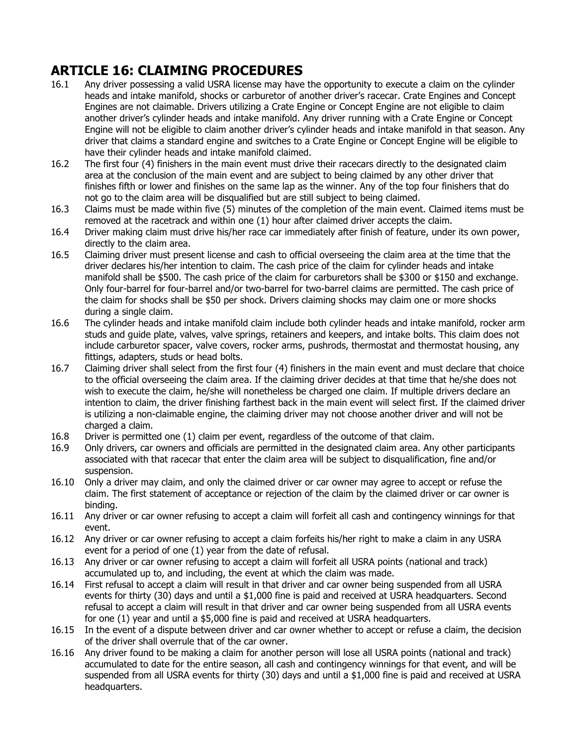# **ARTICLE 16: CLAIMING PROCEDURES**

- 16.1 Any driver possessing a valid USRA license may have the opportunity to execute a claim on the cylinder heads and intake manifold, shocks or carburetor of another driver's racecar. Crate Engines and Concept Engines are not claimable. Drivers utilizing a Crate Engine or Concept Engine are not eligible to claim another driver's cylinder heads and intake manifold. Any driver running with a Crate Engine or Concept Engine will not be eligible to claim another driver's cylinder heads and intake manifold in that season. Any driver that claims a standard engine and switches to a Crate Engine or Concept Engine will be eligible to have their cylinder heads and intake manifold claimed.
- 16.2 The first four (4) finishers in the main event must drive their racecars directly to the designated claim area at the conclusion of the main event and are subject to being claimed by any other driver that finishes fifth or lower and finishes on the same lap as the winner. Any of the top four finishers that do not go to the claim area will be disqualified but are still subject to being claimed.
- 16.3 Claims must be made within five (5) minutes of the completion of the main event. Claimed items must be removed at the racetrack and within one (1) hour after claimed driver accepts the claim.
- 16.4 Driver making claim must drive his/her race car immediately after finish of feature, under its own power, directly to the claim area.
- 16.5 Claiming driver must present license and cash to official overseeing the claim area at the time that the driver declares his/her intention to claim. The cash price of the claim for cylinder heads and intake manifold shall be \$500. The cash price of the claim for carburetors shall be \$300 or \$150 and exchange. Only four-barrel for four-barrel and/or two-barrel for two-barrel claims are permitted. The cash price of the claim for shocks shall be \$50 per shock. Drivers claiming shocks may claim one or more shocks during a single claim.
- 16.6 The cylinder heads and intake manifold claim include both cylinder heads and intake manifold, rocker arm studs and guide plate, valves, valve springs, retainers and keepers, and intake bolts. This claim does not include carburetor spacer, valve covers, rocker arms, pushrods, thermostat and thermostat housing, any fittings, adapters, studs or head bolts.
- 16.7 Claiming driver shall select from the first four (4) finishers in the main event and must declare that choice to the official overseeing the claim area. If the claiming driver decides at that time that he/she does not wish to execute the claim, he/she will nonetheless be charged one claim. If multiple drivers declare an intention to claim, the driver finishing farthest back in the main event will select first. If the claimed driver is utilizing a non-claimable engine, the claiming driver may not choose another driver and will not be charged a claim.
- 16.8 Driver is permitted one (1) claim per event, regardless of the outcome of that claim.
- 16.9 Only drivers, car owners and officials are permitted in the designated claim area. Any other participants associated with that racecar that enter the claim area will be subject to disqualification, fine and/or suspension.
- 16.10 Only a driver may claim, and only the claimed driver or car owner may agree to accept or refuse the claim. The first statement of acceptance or rejection of the claim by the claimed driver or car owner is binding.
- 16.11 Any driver or car owner refusing to accept a claim will forfeit all cash and contingency winnings for that event.
- 16.12 Any driver or car owner refusing to accept a claim forfeits his/her right to make a claim in any USRA event for a period of one (1) year from the date of refusal.
- 16.13 Any driver or car owner refusing to accept a claim will forfeit all USRA points (national and track) accumulated up to, and including, the event at which the claim was made.
- 16.14 First refusal to accept a claim will result in that driver and car owner being suspended from all USRA events for thirty (30) days and until a \$1,000 fine is paid and received at USRA headquarters. Second refusal to accept a claim will result in that driver and car owner being suspended from all USRA events for one (1) year and until a \$5,000 fine is paid and received at USRA headquarters.
- 16.15 In the event of a dispute between driver and car owner whether to accept or refuse a claim, the decision of the driver shall overrule that of the car owner.
- 16.16 Any driver found to be making a claim for another person will lose all USRA points (national and track) accumulated to date for the entire season, all cash and contingency winnings for that event, and will be suspended from all USRA events for thirty (30) days and until a \$1,000 fine is paid and received at USRA headquarters.